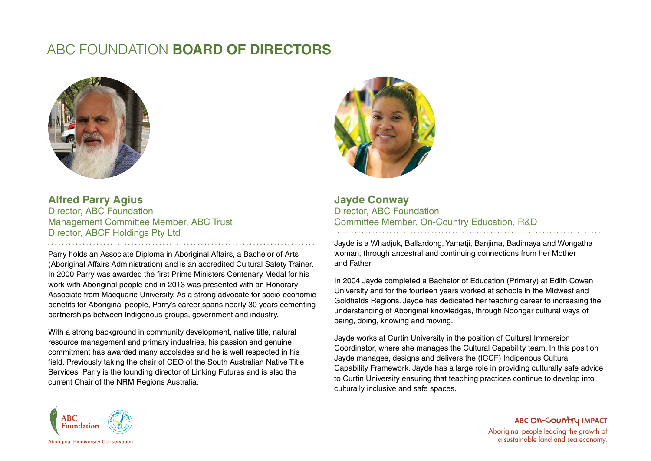# ABC FOUNDATION **BOARD OF DIRECTORS**



**Alfred Parry Agius** Director, ABC Foundation Management Committee Member, ABC Trust Director, ABCF Holdings Pty Ltd 

Parry holds an Associate Diploma in Aboriginal Affairs, a Bachelor of Arts (Aboriginal Affairs Administration) and is an accredited Cultural Safety Trainer. In 2000 Parry was awarded the first Prime Ministers Centenary Medal for his work with Aboriginal people and in 2013 was presented with an Honorary Associate from Macquarie University. As a strong advocate for socio-economic benefits for Aboriginal people, Parry's career spans nearly 30 years cementing partnerships between Indigenous groups, government and industry.

With a strong background in community development, native title, natural resource management and primary industries, his passion and genuine commitment has awarded many accolades and he is well respected in his field. Previously taking the chair of CEO of the South Australian Native Title Services, Parry is the founding director of Linking Futures and is also the current Chair of the NRM Regions Australia.



**Jayde Conway** Director, ABC Foundation Committee Member, On-Country Education, R&D

Jayde is a Whadjuk, Ballardong, Yamatji, Banjima, Badimaya and Wongatha woman, through ancestral and continuing connections from her Mother and Father.

In 2004 Jayde completed a Bachelor of Education (Primary) at Edith Cowan University and for the fourteen years worked at schools in the Midwest and Goldfields Regions. Jayde has dedicated her teaching career to increasing the understanding of Aboriginal knowledges, through Noongar cultural ways of being, doing, knowing and moving.

Jayde works at Curtin University in the position of Cultural Immersion Coordinator, where she manages the Cultural Capability team. In this position Jayde manages, designs and delivers the (ICCF) Indigenous Cultural Capability Framework. Jayde has a large role in providing culturally safe advice to Curtin University ensuring that teaching practices continue to develop into culturally inclusive and safe spaces.



ABC ON-COUNTY IMPACT Aboriginal people leading the growth of a sustainable land and sea economy.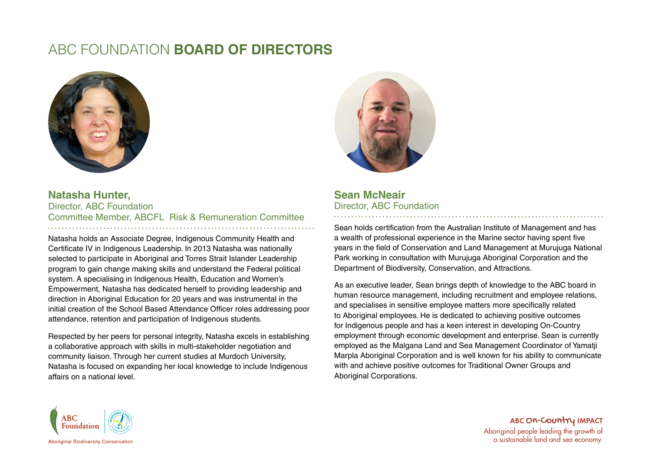# ABC FOUNDATION **BOARD OF DIRECTORS**



#### **Natasha Hunter,** Director, ABC Foundation Committee Member, ABCFL Risk & Remuneration Committee

Natasha holds an Associate Degree, Indigenous Community Health and Certificate IV in Indigenous Leadership. In 2013 Natasha was nationally selected to participate in Aboriginal and Torres Strait Islander Leadership program to gain change making skills and understand the Federal political system. A specialising in Indigenous Health, Education and Women's Empowerment, Natasha has dedicated herself to providing leadership and direction in Aboriginal Education for 20 years and was instrumental in the initial creation of the School Based Attendance Officer roles addressing poor attendance, retention and participation of Indigenous students.

Respected by her peers for personal integrity, Natasha excels in establishing a collaborative approach with skills in multi-stakeholder negotiation and community liaison. Through her current studies at Murdoch University, Natasha is focused on expanding her local knowledge to include Indigenous affairs on a national level.



### **Sean McNeair**  Director, ABC Foundation

Sean holds certification from the Australian Institute of Management and has a wealth of professional experience in the Marine sector having spent five years in the field of Conservation and Land Management at Murujuga National Park working in consultation with Murujuga Aboriginal Corporation and the Department of Biodiversity, Conservation, and Attractions.

As an executive leader, Sean brings depth of knowledge to the ABC board in human resource management, including recruitment and employee relations, and specialises in sensitive employee matters more specifically related to Aboriginal employees. He is dedicated to achieving positive outcomes for Indigenous people and has a keen interest in developing On-Country employment through economic development and enterprise. Sean is currently employed as the Malgana Land and Sea Management Coordinator of Yamatji Marpla Aboriginal Corporation and is well known for his ability to communicate with and achieve positive outcomes for Traditional Owner Groups and Aboriginal Corporations.



ABC O<mark>n-Country</mark> IMPACT Aboriginal people leading the growth of a sustainable land and sea economy.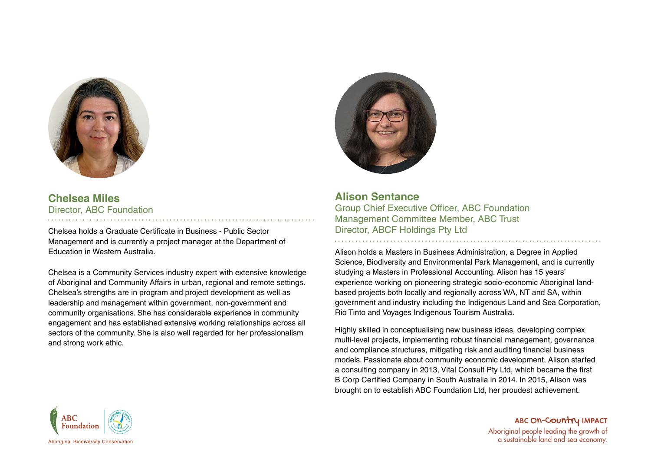

## **Chelsea Miles** Director, ABC Foundation

Chelsea holds a Graduate Certificate in Business - Public Sector Management and is currently a project manager at the Department of Education in Western Australia.

Chelsea is a Community Services industry expert with extensive knowledge of Aboriginal and Community Affairs in urban, regional and remote settings. Chelsea's strengths are in program and project development as well as leadership and management within government, non-government and community organisations. She has considerable experience in community engagement and has established extensive working relationships across all sectors of the community. She is also well regarded for her professionalism and strong work ethic.



**Alison Sentance** Group Chief Executive Officer, ABC Foundation Management Committee Member, ABC Trust Director, ABCF Holdings Pty Ltd

Alison holds a Masters in Business Administration, a Degree in Applied Science, Biodiversity and Environmental Park Management, and is currently studying a Masters in Professional Accounting. Alison has 15 years' experience working on pioneering strategic socio-economic Aboriginal landbased projects both locally and regionally across WA, NT and SA, within government and industry including the Indigenous Land and Sea Corporation, Rio Tinto and Voyages Indigenous Tourism Australia.

Highly skilled in conceptualising new business ideas, developing complex multi-level projects, implementing robust financial management, governance and compliance structures, mitigating risk and auditing financial business models. Passionate about community economic development, Alison started a consulting company in 2013, Vital Consult Pty Ltd, which became the first B Corp Certified Company in South Australia in 2014. In 2015, Alison was brought on to establish ABC Foundation Ltd, her proudest achievement.



ABC ON-COUNTY IMPACT Aboriginal people leading the growth of a sustainable land and sea economy.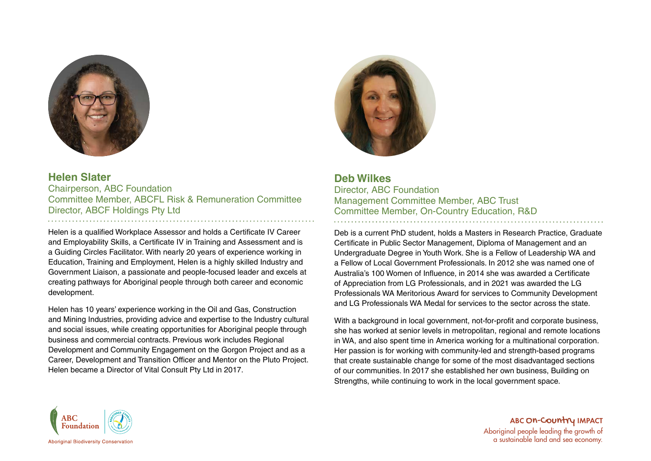

### **Helen Slater** Chairperson, ABC Foundation Committee Member, ABCFL Risk & Remuneration Committee Director, ABCF Holdings Pty Ltd

Helen is a qualified Workplace Assessor and holds a Certificate IV Career and Employability Skills, a Certificate IV in Training and Assessment and is a Guiding Circles Facilitator. With nearly 20 years of experience working in Education, Training and Employment, Helen is a highly skilled Industry and Government Liaison, a passionate and people-focused leader and excels at creating pathways for Aboriginal people through both career and economic development.

Helen has 10 years' experience working in the Oil and Gas, Construction and Mining Industries, providing advice and expertise to the Industry cultural and social issues, while creating opportunities for Aboriginal people through business and commercial contracts. Previous work includes Regional Development and Community Engagement on the Gorgon Project and as a Career, Development and Transition Officer and Mentor on the Pluto Project. Helen became a Director of Vital Consult Pty Ltd in 2017.



### **Deb Wilkes** Director, ABC Foundation Management Committee Member, ABC Trust Committee Member, On-Country Education, R&D

Deb is a current PhD student, holds a Masters in Research Practice, Graduate Certificate in Public Sector Management, Diploma of Management and an Undergraduate Degree in Youth Work. She is a Fellow of Leadership WA and a Fellow of Local Government Professionals. In 2012 she was named one of Australia's 100 Women of Influence, in 2014 she was awarded a Certificate of Appreciation from LG Professionals, and in 2021 was awarded the LG Professionals WA Meritorious Award for services to Community Development and LG Professionals WA Medal for services to the sector across the state.

With a background in local government, not-for-profit and corporate business, she has worked at senior levels in metropolitan, regional and remote locations in WA, and also spent time in America working for a multinational corporation. Her passion is for working with community-led and strength-based programs that create sustainable change for some of the most disadvantaged sections of our communities. In 2017 she established her own business, Building on Strengths, while continuing to work in the local government space.



ABC O<mark>n-Country</mark> IMPACT Aboriginal people leading the growth of a sustainable land and sea economy.